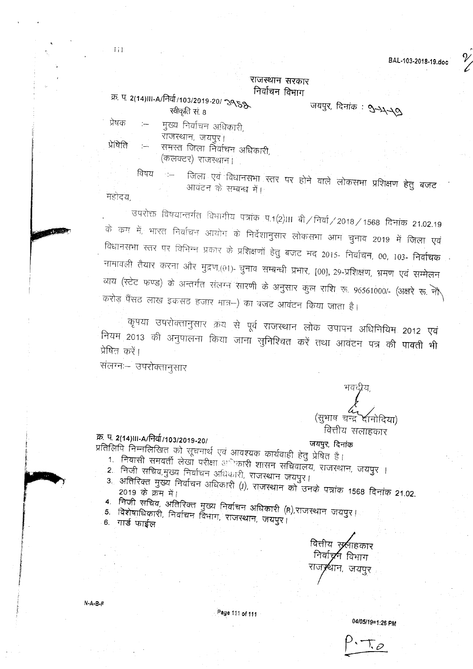BAL.103·2018·19,doc ~

### राजस्थान सरकार निर्वाचन विभाग

### <u>क्र. प. 2(14)III-A/निर्वा/103/2019-20/ २९</u>८६ .<br>अर्थापर, दिनांक : २  $\overline{x}$ वीकृति सं $8$

प्रेषक :--- मुख्य निर्वाचन अधिकारी,

राजस्थान, जयपुर।

प्रेषिति :-- समस्त जिला निर्वाचन अधिकारी, (कलक्टर) राजस्थान।

विषय <sub>:</sub> - जिला एवं विधानसभा स्तर पर होने वाले लोकसभा प्रशिक्षण हेतु बजट आवंटन के सम्बन्ध में। महोदय.

उपरोक्त विषयान्तर्गत विभागीय पत्रांक प.1(2)III बी / निर्वा / 2018 / 1568 दिनांक 21.02.19 के कम में, भारत निर्वाचन आयोग के निर्देशानुसार लोकसभा आम चुनाव 2019 में <mark>जिला एवं</mark> विधानसभा स्तर पर विभिन्न प्रकार के प्रशिक्षणों हेतु बजट मद 2015- निर्वाचन, 00, 103- निर्वाचक नामावली तैयार करना और मुद्रण,(01)- चुनाव सम्बन्धी प्रभार, [00], 29-प्रशिक्षण, भ्र<u>मण एवं सम्मेलन</u> <u>व्यय (स्टेट फण्ड) के अन्तर्गत संलग्न सारणी के अनुसार कुल राशि रू. 96561000/- (अक्षरे रू. <del>-</del><br>जूनेल अल्लाह के अन्तर्गत संलग्न सारणी के अनुसार कुल राशि रू. 96561000/- (अक्षरे रू. <del>-</del></u> करोड़ पैंसट लाख इकसट हजार मात्र-) का बजट आवंटन किया जाता है।

कृपया उपरोक्तानुसार क्रय से पूर्व राजस्थान लोक उपापन अधिनियिम 2012 एवं नियम 2013 की अनुपालना किया जाना सुनिश्चित करें तथा आवंटन पत्र की पावती भी प्रेषित करें।

संलग्न - उपरोक्तानुसार

# भवद्गीय,<br>**/** (सभाष चन्द्र दानोदिया) वित्तीय सलाहकार

#### $W_2 = 2(14)$ III-A/IHGI/103/2019-20/

\* Rusial Printed and Realist Rajabase and and Range & Library<br>Compared to the Capital State of Capital State of Changes and Capital State of Library Printed State of Capital

- 
- $1.$  निवासी समवर्ती लेखा परीक्षा अधिकारी शासन सचिवालय, राजस्थान, जयपुर । 2. निजी सचिव,मुख्य निर्वाचन अधिकारी, राजस्थान जयपुर।
- 
- 3. अतिरिक्त मुख्य निर्वाचन अधिकारी (J), राजस्थान को उनके पत्रांक 1568 दिनांक 21.02.  $4.$  मिजी सचिव, अतिरिक्त मुख्य निर्वाचन अधिकारी (R),राजस्थान जयपुर।
- 5. विशेषाधिकारी, निर्वाचन विभाग, राजस्थान, जयपुर।
- 6. गार्ड फाईल

वित्तीय स् लाहकार निर्वाच र्न विभाग राज्7थान, जयपुर

N·A·B·F

Page 111 of 111

*04105/19=1*:26 PM